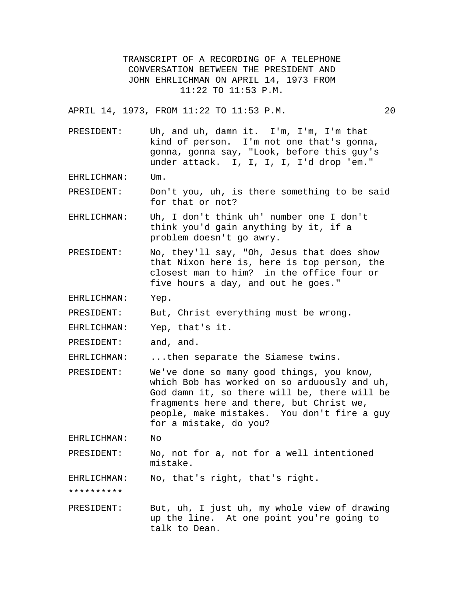TRANSCRIPT OF A RECORDING OF A TELEPHONE CONVERSATION BETWEEN THE PRESIDENT AND JOHN EHRLICHMAN ON APRIL 14, 1973 FROM 11:22 TO 11:53 P.M.

APRIL 14, 1973, FROM 11:22 TO 11:53 P.M. 20

PRESIDENT: Uh, and uh, damn it. I'm, I'm, I'm that kind of person. I'm not one that's gonna, gonna, gonna say, "Look, before this guy's under attack. I, I, I, I, I'd drop 'em."

EHRLICHMAN: Um.

PRESIDENT: Don't you, uh, is there something to be said for that or not?

EHRLICHMAN: Uh, I don't think uh' number one I don't think you'd gain anything by it, if a problem doesn't go awry.

PRESIDENT: No, they'll say, "Oh, Jesus that does show that Nixon here is, here is top person, the closest man to him? in the office four or five hours a day, and out he goes."

EHRLICHMAN: Yep.

PRESIDENT: But, Christ everything must be wrong.

EHRLICHMAN: Yep, that's it.

PRESIDENT: and, and.

EHRLICHMAN: ...then separate the Siamese twins.

PRESIDENT: We've done so many good things, you know, which Bob has worked on so arduously and uh, God damn it, so there will be, there will be fragments here and there, but Christ we, people, make mistakes. You don't fire a guy for a mistake, do you?

EHRLICHMAN: No

PRESIDENT: No, not for a, not for a well intentioned mistake.

EHRLICHMAN: No, that's right, that's right.

\*\*\*\*\*\*\*\*\*\*

PRESIDENT: But, uh, I just uh, my whole view of drawing up the line. At one point you're going to talk to Dean.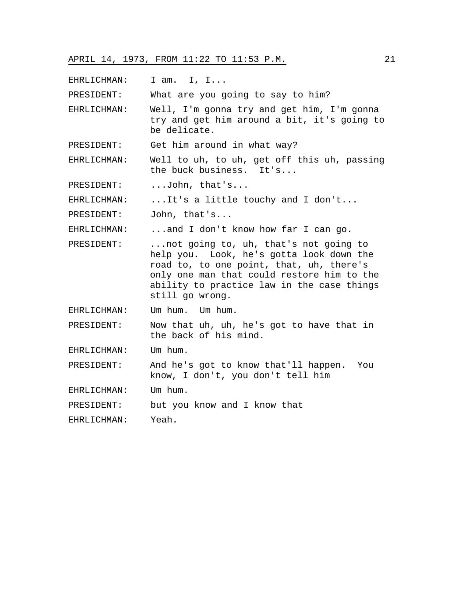EHRLICHMAN: I am. I, I...

PRESIDENT: What are you going to say to him?

EHRLICHMAN: Well, I'm gonna try and get him, I'm gonna try and get him around a bit, it's going to be delicate.

PRESIDENT: Get him around in what way?

EHRLICHMAN: Well to uh, to uh, get off this uh, passing the buck business. It's...

PRESIDENT: ...John, that's...

EHRLICHMAN: ...It's a little touchy and I don't...

PRESIDENT: John, that's...

EHRLICHMAN: ...and I don't know how far I can go.

PRESIDENT: ...not going to, uh, that's not going to help you. Look, he's gotta look down the road to, to one point, that, uh, there's only one man that could restore him to the ability to practice law in the case things still go wrong.

EHRLICHMAN: Um hum. Um hum.

PRESIDENT: Now that uh, uh, he's got to have that in the back of his mind.

EHRLICHMAN: Um hum.

PRESIDENT: And he's got to know that'll happen. You know, I don't, you don't tell him

EHRLICHMAN: Um hum.

PRESIDENT: but you know and I know that

EHRLICHMAN: Yeah.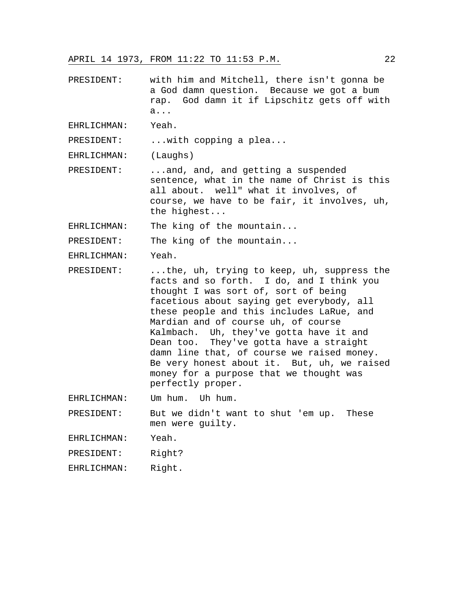PRESIDENT: with him and Mitchell, there isn't gonna be a God damn question. Because we got a bum rap. God damn it if Lipschitz gets off with a...

EHRLICHMAN: Yeah.

PRESIDENT: ... with copping a plea...

EHRLICHMAN: (Laughs)

PRESIDENT: ...and, and, and getting a suspended sentence, what in the name of Christ is this all about. well" what it involves, of course, we have to be fair, it involves, uh, the highest...

EHRLICHMAN: The king of the mountain...

PRESIDENT: The king of the mountain...

EHRLICHMAN: Yeah.

PRESIDENT: ...the, uh, trying to keep, uh, suppress the facts and so forth. I do, and I think you thought I was sort of, sort of being facetious about saying get everybody, all these people and this includes LaRue, and Mardian and of course uh, of course Kalmbach. Uh, they've gotta have it and Dean too. They've gotta have a straight damn line that, of course we raised money. Be very honest about it. But, uh, we raised money for a purpose that we thought was perfectly proper.

EHRLICHMAN: Um hum. Uh hum.

PRESIDENT: But we didn't want to shut 'em up. These men were guilty.

EHRLICHMAN: Yeah.

PRESIDENT: Right?

EHRLICHMAN: Right.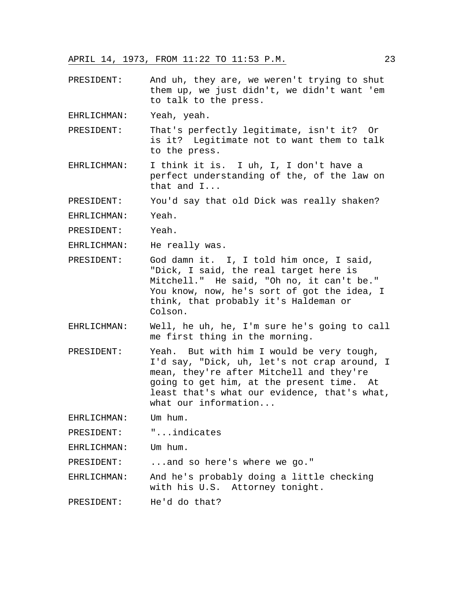PRESIDENT: And uh, they are, we weren't trying to shut them up, we just didn't, we didn't want 'em to talk to the press.

EHRLICHMAN: Yeah, yeah.

- PRESIDENT: That's perfectly legitimate, isn't it? Or is it? Legitimate not to want them to talk to the press.
- EHRLICHMAN: I think it is. I uh, I, I don't have a perfect understanding of the, of the law on that and I...

PRESIDENT: You'd say that old Dick was really shaken?

EHRLICHMAN: Yeah.

PRESIDENT: Yeah.

EHRLICHMAN: He really was.

- PRESIDENT: God damn it. I, I told him once, I said, "Dick, I said, the real target here is Mitchell." He said, "Oh no, it can't be." You know, now, he's sort of got the idea, I think, that probably it's Haldeman or Colson.
- EHRLICHMAN: Well, he uh, he, I'm sure he's going to call me first thing in the morning.
- PRESIDENT: Yeah. But with him I would be very tough, I'd say, "Dick, uh, let's not crap around, I mean, they're after Mitchell and they're going to get him, at the present time. At least that's what our evidence, that's what, what our information...

EHRLICHMAN: Um hum.

PRESIDENT: "...indicates

EHRLICHMAN: Um hum.

PRESIDENT: ...and so here's where we go."

EHRLICHMAN: And he's probably doing a little checking with his U.S. Attorney tonight.

PRESIDENT: He'd do that?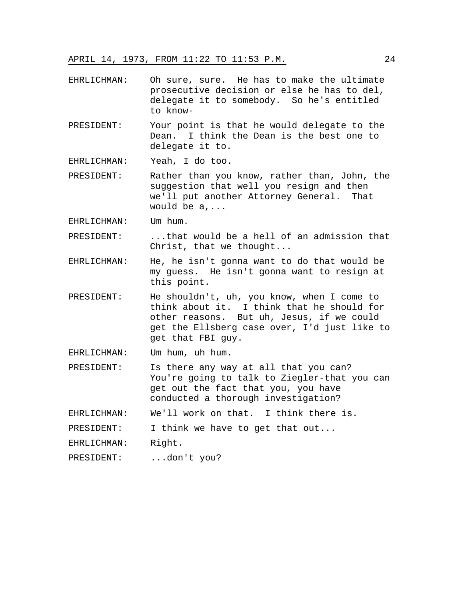- EHRLICHMAN: Oh sure, sure. He has to make the ultimate prosecutive decision or else he has to del, delegate it to somebody. So he's entitled to know-
- PRESIDENT: Your point is that he would delegate to the Dean. I think the Dean is the best one to delegate it to.

EHRLICHMAN: Yeah, I do too.

- PRESIDENT: Rather than you know, rather than, John, the suggestion that well you resign and then we'll put another Attorney General. That would be a,...
- EHRLICHMAN: Um hum.
- PRESIDENT: ...that would be a hell of an admission that Christ, that we thought...
- EHRLICHMAN: He, he isn't gonna want to do that would be my guess. He isn't gonna want to resign at this point.
- PRESIDENT: He shouldn't, uh, you know, when I come to think about it. I think that he should for other reasons. But uh, Jesus, if we could get the Ellsberg case over, I'd just like to get that FBI guy.
- EHRLICHMAN: Um hum, uh hum.
- PRESIDENT: Is there any way at all that you can? You're going to talk to Ziegler-that you can get out the fact that you, you have conducted a thorough investigation?

EHRLICHMAN: We'll work on that. I think there is.

PRESIDENT: I think we have to get that out...

EHRLICHMAN: Right.

PRESIDENT: ...don't you?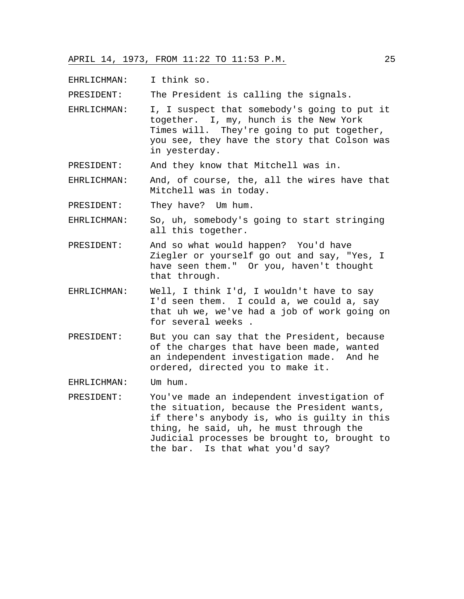EHRLICHMAN: I think so.

PRESIDENT: The President is calling the signals.

- EHRLICHMAN: I, I suspect that somebody's going to put it together. I, my, hunch is the New York Times will. They're going to put together, you see, they have the story that Colson was in yesterday.
- PRESIDENT: And they know that Mitchell was in.
- EHRLICHMAN: And, of course, the, all the wires have that Mitchell was in today.
- PRESIDENT: They have? Um hum.
- EHRLICHMAN: So, uh, somebody's going to start stringing all this together.
- PRESIDENT: And so what would happen? You'd have Ziegler or yourself go out and say, "Yes, I have seen them." Or you, haven't thought that through.
- EHRLICHMAN: Well, I think I'd, I wouldn't have to say I'd seen them. I could a, we could a, say that uh we, we've had a job of work going on for several weeks .
- PRESIDENT: But you can say that the President, because of the charges that have been made, wanted an independent investigation made. And he ordered, directed you to make it.

EHRLICHMAN: Um hum.

PRESIDENT: You've made an independent investigation of the situation, because the President wants, if there's anybody is, who is guilty in this thing, he said, uh, he must through the Judicial processes be brought to, brought to the bar. Is that what you'd say?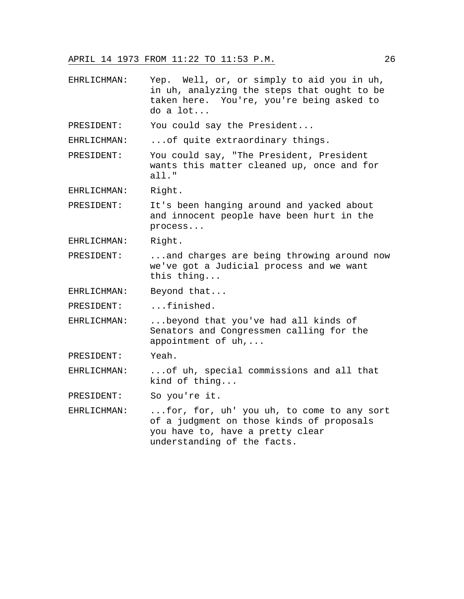EHRLICHMAN: Yep. Well, or, or simply to aid you in uh, in uh, analyzing the steps that ought to be taken here. You're, you're being asked to do a lot...

PRESIDENT: You could say the President...

EHRLICHMAN: ...of quite extraordinary things.

PRESIDENT: You could say, "The President, President wants this matter cleaned up, once and for all."

EHRLICHMAN: Right.

PRESIDENT: It's been hanging around and yacked about and innocent people have been hurt in the process...

EHRLICHMAN: Right.

PRESIDENT: ...and charges are being throwing around now we've got a Judicial process and we want this thing...

EHRLICHMAN: Beyond that...

PRESIDENT: ...finished.

EHRLICHMAN: ...beyond that you've had all kinds of Senators and Congressmen calling for the appointment of uh,...

PRESIDENT: Yeah.

EHRLICHMAN: ...of uh, special commissions and all that kind of thing...

PRESIDENT: So you're it.

EHRLICHMAN: ...for, for, uh' you uh, to come to any sort of a judgment on those kinds of proposals you have to, have a pretty clear understanding of the facts.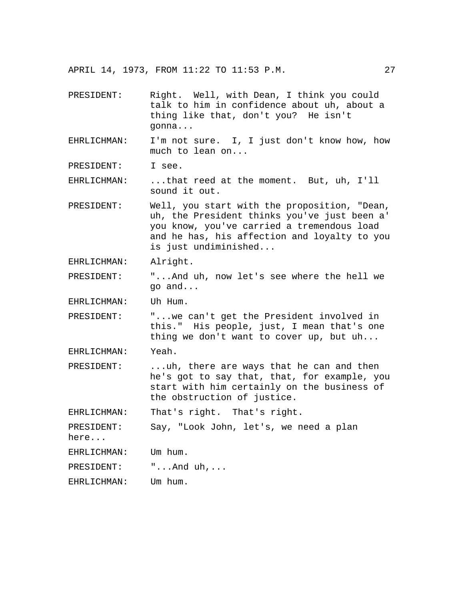| PRESIDENT:  | Right. Well, with Dean, I think you could<br>talk to him in confidence about uh, about a<br>thing like that, don't you? He isn't<br>gonna |
|-------------|-------------------------------------------------------------------------------------------------------------------------------------------|
| EHRLICHMAN: | I'm not sure. I, I just don't know how, how<br>much to lean on                                                                            |
| PRESIDENT:  | I see.                                                                                                                                    |
| EHRLICHMAN: | that reed at the moment. But, uh, I'll<br>sound it out.                                                                                   |
| PRESIDENT:  | Well, you start with the proposition, "Dean,<br>uh, the President thinks you've just been a'                                              |

uh, the President thinks you've just been a' you know, you've carried a tremendous load and he has, his affection and loyalty to you is just undiminished...

EHRLICHMAN: Alright.

PRESIDENT: "...And uh, now let's see where the hell we go and...

EHRLICHMAN: Uh Hum.

PRESIDENT: "...we can't get the President involved in this." His people, just, I mean that's one thing we don't want to cover up, but uh...

EHRLICHMAN: Yeah.

PRESIDENT: ...uh, there are ways that he can and then he's got to say that, that, for example, you start with him certainly on the business of the obstruction of justice.

EHRLICHMAN: That's right. That's right.

PRESIDENT: Say, "Look John, let's, we need a plan

here...

EHRLICHMAN: Um hum.

PRESIDENT:  $\cdots$  ...And uh,...

EHRLICHMAN: Um hum.